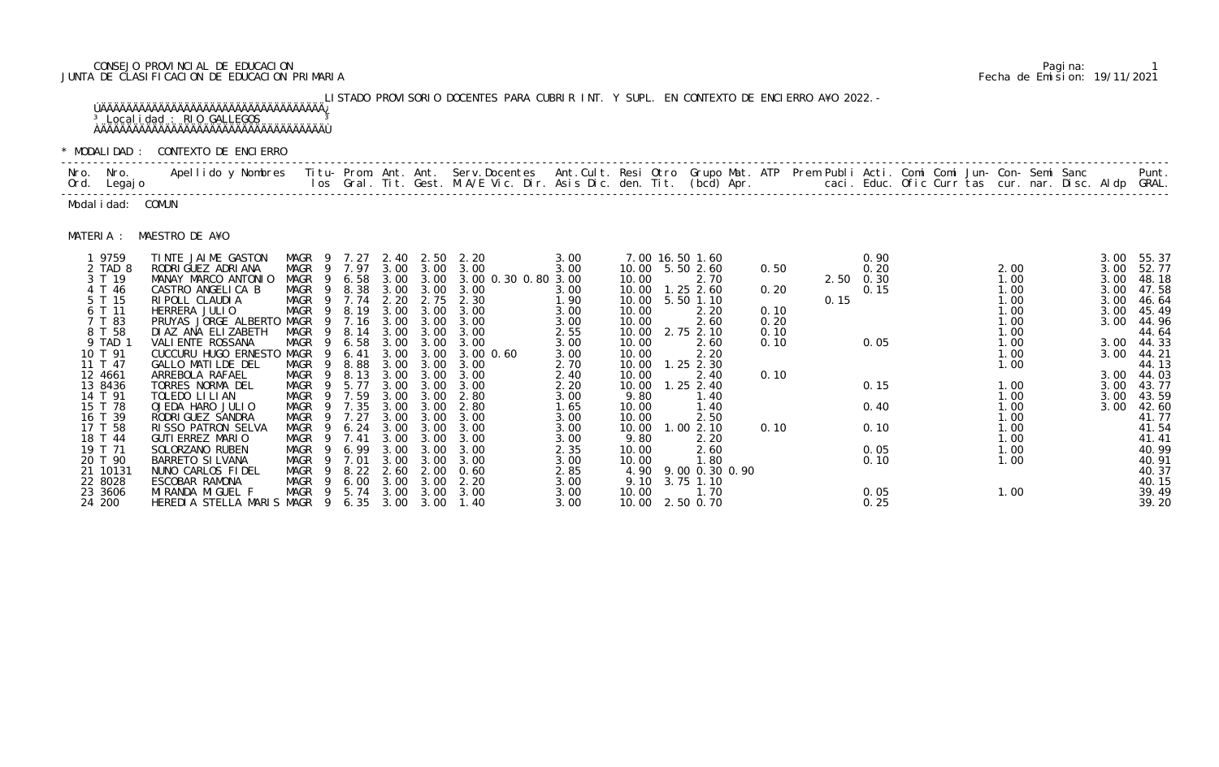# CONSEJO PROVINCIAL DE EDUCACION Pagina: 1 JUNTA DE CLASIFICACION DE EDUCACION PRIMARIA Fecha de Emision: 19/11/2021

LISTADO PROVISORIO DOCENTES PARA CUBRIR INT. Y SUPL. EN CONTEXTO DE ENCIERRO A¥O 2022.- ÚÄÄÄÄÄÄÄÄÄÄÄÄÄÄÄÄÄÄÄÄÄÄÄÄÄÄÄÄÄÄÄÄÄÄÄ¿ <sup>3</sup> Localidad : RIO GALLEGOS 3 ÀÄÄÄÄÄÄÄÄÄÄÄÄÄÄÄÄÄÄÄÄÄÄÄÄÄÄÄÄÄÄÄÄÄÄÄÙ

|           | Nro. Nro.<br>Ord. Legajo | Apellido y Nombres - Titu- Prom. Ant. Ant. Serv.Docentes - Ant.Cult. Resi Otro Grupo Mat. ATP Prem Publi Acti. Comi Comi Jun- Con- Semi Sanc - - - Punt.<br>Ios Gral. Tit. Gest. M.A/E Vic. Dir. Asis Dic. den. Tit. (bcd) Apr. - |                           |                     |              |              |                     |              |                |                   |      |      |              |  |              |              |                |
|-----------|--------------------------|-----------------------------------------------------------------------------------------------------------------------------------------------------------------------------------------------------------------------------------|---------------------------|---------------------|--------------|--------------|---------------------|--------------|----------------|-------------------|------|------|--------------|--|--------------|--------------|----------------|
|           | Modal i dad: COMUN       |                                                                                                                                                                                                                                   |                           |                     |              |              |                     |              |                |                   |      |      |              |  |              |              |                |
| MATERIA : |                          | MAESTRO DE A¥O                                                                                                                                                                                                                    |                           |                     |              |              |                     |              |                |                   |      |      |              |  |              |              |                |
|           | 1 9759                   | TINTE JAIME GASTON                                                                                                                                                                                                                | MAGR 9                    | 7. 27               |              |              | 2.40 2.50 2.20      | 3.00         |                | 7.00 16.50 1.60   |      |      | 0.90         |  |              | 3.00         | 55.37          |
|           | 2 TAD 8                  | RODRI GUEZ ADRI ANA                                                                                                                                                                                                               | MAGR                      | 9 7.97              |              | 3.00 3.00    | 3.00                | 3.00         | 10.00          | 5.50 2.60         | 0.50 |      | 0.20         |  | 2.00         | 3.00         | 52.77          |
|           | 3 T 19                   | MANAY MARCO ANTONIO                                                                                                                                                                                                               | MAGR                      | 6.58<br>- 9         |              | 3.00 3.00    | 3.00 0.30 0.80 3.00 |              | 10.00          | 2.70              |      |      | 2.50 0.30    |  | 1.00         | 3.00         | 48.18          |
|           | 4 T 46<br>5 T 15         | CASTRO ANGELICA B                                                                                                                                                                                                                 | MAGR                      | 8.38<br>- 9         | 3.00<br>2.20 | 3.00         | 3.00<br>2.30        | 3.00         | 10.00          | $1.25$ 2.60       | 0.20 |      | 0.15         |  | 1.00<br>1.00 | 3.00         | 47.58          |
|           | 6 T 11                   | RI POLL CLAUDI A<br>HERRERA JULIO                                                                                                                                                                                                 | MAGR <sub>9</sub><br>MAGR | 7.74<br>8.19        | 3.00         | 2.75<br>3.00 | 3.00                | 1.90<br>3.00 | 10.00<br>10.00 | 5.50 1.10<br>2.20 | 0.10 | 0.15 |              |  | 1.00         | 3.00<br>3.00 | 46.64<br>45.49 |
|           | 7 T 83                   | PRUYAS JORGE ALBERTO                                                                                                                                                                                                              | MAGR                      | 7.16<br>9           | 3.00         | 3.00         | 3.00                | 3.00         | 10.00          | 2.60              | 0.20 |      |              |  | 1.00         | 3.00         | 44.96          |
|           | 8 T 58                   | DI AZ ANA ELIZABETH                                                                                                                                                                                                               | <b>MAGR</b>               | 8.14<br>-9          | 3.00         | 3.00         | 3.00                | 2.55         | 10.00          | 2.75 2.10         | 0.10 |      |              |  | 1.00         |              | 44.64          |
|           | 9 TAD 1                  | VALI ENTE ROSSANA                                                                                                                                                                                                                 | <b>MAGR</b>               | 6.58<br>- 9         | 3.00         | 3.00         | 3.00                | 3.00         | 10.00          | 2.60              | 0.10 |      | 0.05         |  | 1.00         | 3.00         | 44.33          |
|           | 10 T 91                  | CUCCURU HUGO ERNESTO                                                                                                                                                                                                              | MAGR                      | 6.41                | 3.00         | 3.00         | $3.00 \, 0.60$      | 3.00         | 10.00          | 2.20              |      |      |              |  | 1.00         | 3.00         | 44.21          |
|           | 11 T 47                  | GALLO MATILDE DEL                                                                                                                                                                                                                 | <b>MAGR</b>               | 8.88                | 3.00         | 3.00         | 3.00                | 2.70         | 10.00          | $1.25$ $2.30$     |      |      |              |  | 1.00         |              | 44.13          |
|           | 12 4661                  | ARREBOLA RAFAEL                                                                                                                                                                                                                   | MAGR                      | 8.13<br>- 9         | 3.00         | 3.00         | 3.00                | 2.40         | 10.00          | 2.40              | 0.10 |      |              |  |              | 3.00         | 44.03          |
|           | 13 8436                  | TORRES NORMA DEL                                                                                                                                                                                                                  | MAGR                      | 5.77<br>- 9         | 3.00         | 3.00         | 3.00                | 2.20         | 10.00          | $1.25$ 2.40       |      |      | 0.15         |  | 1.00         | 3.00         | 43.77          |
|           | 14 T 91<br>15 T 78       | TOLEDO LI LI AN                                                                                                                                                                                                                   | MAGR                      | 7.59<br>- 9         | 3.00<br>3.00 | 3.00<br>3.00 | 2.80<br>2.80        | 3.00         | 9.80           | 1.40<br>1.40      |      |      |              |  | 1.00         | 3.00         | 43.59          |
|           | 16 T 39                  | OJEDA HARO JULIO<br>RODRI GUEZ SANDRA                                                                                                                                                                                             | MAGR<br>MAGR              | 7.35<br>7.27<br>- 9 | 3.00         | 3.00         | 3.00                | 1.65<br>3.00 | 10.00<br>10.00 | 2.50              |      |      | 0.40         |  | 1.00<br>1.00 | 3.00         | 42.60<br>41.77 |
|           | 17 T 58                  | RISSO PATRON SELVA                                                                                                                                                                                                                | MAGR                      | 6.24<br>-9          | 3.00         | 3.00         | 3.00                | 3.00         | 10.00          | 1.002.10          | 0.10 |      | 0.10         |  | 1.00         |              | 41.54          |
|           | 18 T 44                  | GUTI ERREZ MARIO                                                                                                                                                                                                                  | MAGR                      | 7.41<br>-9          | 3.00         | 3.00         | 3.00                | 3.00         | 9.80           | 2.20              |      |      |              |  | 1.00         |              | 41.41          |
|           | 19 T 71                  | SOLORZANO RUBEN                                                                                                                                                                                                                   | MAGR                      | 6.99<br>-9          | 3.00         | 3.00         | 3.00                | 2.35         | 10.00          | 2.60              |      |      | 0.05         |  | 1.00         |              | 40.99          |
|           | 20 T 90                  | BARRETO SI LVANA                                                                                                                                                                                                                  | MAGR                      | 7.01                | 3.00         | 3.00         | 3.00                | 3.00         | 10.00          | 1.80              |      |      | 0.10         |  | 1.00         |              | 40.91          |
|           | 21 10131                 | NUNO CARLOS FIDEL                                                                                                                                                                                                                 | MAGR                      | 8.22                | 2.60         | 2.00         | 0.60                | 2.85         | 4.90           | 9.00 0.30 0.90    |      |      |              |  |              |              | 40.37          |
|           | 22 8028                  | ESCOBAR RAMONA                                                                                                                                                                                                                    | MAGR                      | 6.00<br>- 9         | 3.00         | 3.00         | 2.20                | 3.00         | 9.10           | 3.75 1.10         |      |      |              |  |              |              | 40.15          |
|           | 23 3606<br>24 200        | MI RANDA MI GUEL F<br>HEREDIA STELLA MARIS MAGR 9                                                                                                                                                                                 | <b>MAGR</b>               | 5.74<br>- 9<br>6.35 | 3.00<br>3.00 | 3.00<br>3.00 | 3.00<br>1.40        | 3.00<br>3.00 | 10.00          | 1.70<br>2.50 0.70 |      |      | 0.05<br>0.25 |  | 1.00         |              | 39.49<br>39.20 |

| Apellido y Nombres  Titu- Prom. Ant. Ant.  Serv.Docentes  Ant.Cult. Resi Otro  Grupo Mat. ATP  Prem Publi Acti. Comi Comi Jun- Con- Semi Sanc              Punt.<br>Ios Gral. Tit. Gest. M.A/E Vic. Dir. Asis Dic. den. Tit. (bcd<br>o. Nro.<br>d. Legaj o<br>dalidad: COMUN<br>MAESTRO DE A¥O<br>1 9759<br>TINTE JAIME GASTON<br>3.00<br>0.90<br>MAGR 9<br>7. 27<br>2.40 2.50 2.20<br>7.00 16.50 1.60<br>3.00 55.37<br>MAGR 9<br>2 TAD 8<br>7.97<br>3.00 3.00 3.00<br>3.00<br>RODRI GUEZ ADRI ANA<br>10.00 5.50 2.60<br>0.50<br>0.20<br>2.00<br>3.00<br>52.77<br>3 T 19<br>6.58<br>3.00 3.00 3.00 0.30 0.80 3.00<br>MANAY MARCO ANTONIO<br>MAGR 9<br>2.70<br>$2.50 \t 0.30$<br>3.00<br>48.18<br>10.00<br>1.00<br>8.38<br>CASTRO ANGELICA B<br>MAGR<br>3.00<br>0.20<br>0.15<br>4 T 46<br>3.00<br>$1.25$ 2.60<br>1.00<br>3.00<br>47.58<br>3.00<br>3.00<br>10.00<br>5 T 15<br>1.00<br>RIPOLL CLAUDIA<br>MAGR<br>7.74<br>2.20<br>1.90<br>0.15<br>46.64<br>2.75<br>10.00<br>5.50 1.10<br>3.00<br>2.30<br>MAGR<br>1.00<br>6 T 11<br>HERRERA JULIO<br>8.19<br>3.00<br>3.00<br>3.00<br>3.00<br>10.00<br>2.20<br>0.10<br>45.49<br>3.00<br>7 T 83<br>PRUYAS JORGE ALBERTO MAGR<br>7.16<br>3.00<br>2.60<br>0.20<br>1.00<br>3.00<br>3.00<br>10.00<br>44.96<br>- 9<br>3.00<br>3.00<br>8 T 58<br>DI AZ ANA ELI ZABETH<br>MAGR<br>2.55<br>2.75 2.10<br>1.00<br>44.64<br>8.14<br>3.00<br>10.00<br>0.10<br>3.00<br>3.00<br>0.05<br>6.58<br>3.00<br>9 TAD 1<br>VALI ENTE ROSSANA<br>MAGR<br>3.00<br>1.00<br>44.33<br>3.00<br>3.00<br>10.00<br>2.60<br>0.10<br>3.00<br>CUCCURU HUGO ERNESTO MAGR<br>6.41<br>3.00<br>2.20<br>1.00<br>3.00<br>3.00<br>3.00<br>3.00 0.60<br>10.00<br>44.21<br>GALLO MATILDE DEL<br><b>MAGR</b><br>8.88<br>2.70<br>$1.25$ $2.30$<br>1.00<br>44.13<br>3.00<br>3.00<br>10.00<br>3.00<br>MAGR 9<br>8.13<br>2.40<br>3.00 44.03<br>ARREBOLA RAFAEL<br>3.00<br>3.00<br>0.10<br>10.00<br>3.00<br>2.40<br>5.77<br>TORRES NORMA DEL<br>MAGR 9<br>3.00<br>2.20<br>$1.25$ 2.40<br>0.15<br>1.00<br>3.00<br>43.77<br>3.00<br>10.00<br>3.00<br>MAGR<br>TOLEDO LI LI AN<br>7.59<br>9.80<br>- 9<br>3.00<br>3.00<br>2.80<br>3.00<br>1.40<br>1.00<br>3.00<br>43.59<br>MAGR<br>7.35<br>1.65<br>1.00<br>OJEDA HARO JULIO<br>10.00<br>1.40<br>0.40<br>3.00<br>42.60<br>3.00<br>3.00<br>2.80<br>RODRI GUEZ SANDRA<br>MAGR<br>7.27<br>3.00<br>1.00<br>41.77<br>3.00<br>3.00<br>10.00<br>2.50<br>3.00<br><b>RISSO PATRON SELVA</b><br>MAGR<br>6.24<br>3.00<br>0.10<br>0.10<br>1.00<br>41.54<br>3.00<br>10.00  1.00  2.10<br>3.00<br>3.00<br>MAGR<br>GUTI ERREZ MARIO<br>7.41<br>3.00<br>2.20<br>3.00<br>9.80<br>1.00<br>41.41<br>- 9<br>3.00<br>3.00<br>0.05<br>SOLORZANO RUBEN<br>MAGR<br>6.99<br>1.00<br>40.99<br>3.00<br>3.00<br>2.35<br>2.60<br>9<br>3.00<br>10.00<br>BARRETO SI LVANA<br>3.00<br>1.00<br>40.91<br>MAGR<br>7.01<br>10.00<br>1.80<br>0.10<br>3.00<br>3.00<br>3.00<br>2.85<br>40.37<br>NUNO CARLOS FIDEL<br>MAGR<br>8.22<br>2.60<br>2.00<br>4.90 9.00 0.30 0.90<br>0.60<br>MAGR<br>6.00<br>ESCOBAR RAMONA<br>3.00<br>3.00<br>3.00<br>3.75 1.10<br>40.15<br>2.20<br>9.10<br>MAGR 9<br>5.74<br>39.49<br>MIRANDA MIGUEL F<br>$3.00\quad 3.00$<br>1.70<br>3.00<br>10.00<br>1.00<br>3.00<br>0.05<br>HEREDIA STELLA MARIS MAGR<br>0.25<br>24 200<br>6.35<br>3.00<br>10.00 2.50 0.70<br>39.20<br>3.00<br>- 9<br>3.00<br>1.40 |                                                                                                                                                         | OUDALIDAD : CONTEXTO DE ENCIERRO |  |  |  |  |  |  |  |  |  |  |  |
|---------------------------------------------------------------------------------------------------------------------------------------------------------------------------------------------------------------------------------------------------------------------------------------------------------------------------------------------------------------------------------------------------------------------------------------------------------------------------------------------------------------------------------------------------------------------------------------------------------------------------------------------------------------------------------------------------------------------------------------------------------------------------------------------------------------------------------------------------------------------------------------------------------------------------------------------------------------------------------------------------------------------------------------------------------------------------------------------------------------------------------------------------------------------------------------------------------------------------------------------------------------------------------------------------------------------------------------------------------------------------------------------------------------------------------------------------------------------------------------------------------------------------------------------------------------------------------------------------------------------------------------------------------------------------------------------------------------------------------------------------------------------------------------------------------------------------------------------------------------------------------------------------------------------------------------------------------------------------------------------------------------------------------------------------------------------------------------------------------------------------------------------------------------------------------------------------------------------------------------------------------------------------------------------------------------------------------------------------------------------------------------------------------------------------------------------------------------------------------------------------------------------------------------------------------------------------------------------------------------------------------------------------------------------------------------------------------------------------------------------------------------------------------------------------------------------------------------------------------------------------------------------------------------------------------------------------------------------------------------------------------------------------------------------------------------------------------------------------------------------------------------------------------------------------------------------------------------------------------------------------------------------------------------------------------------------------|---------------------------------------------------------------------------------------------------------------------------------------------------------|----------------------------------|--|--|--|--|--|--|--|--|--|--|--|
|                                                                                                                                                                                                                                                                                                                                                                                                                                                                                                                                                                                                                                                                                                                                                                                                                                                                                                                                                                                                                                                                                                                                                                                                                                                                                                                                                                                                                                                                                                                                                                                                                                                                                                                                                                                                                                                                                                                                                                                                                                                                                                                                                                                                                                                                                                                                                                                                                                                                                                                                                                                                                                                                                                                                                                                                                                                                                                                                                                                                                                                                                                                                                                                                                                                                                                                           |                                                                                                                                                         |                                  |  |  |  |  |  |  |  |  |  |  |  |
|                                                                                                                                                                                                                                                                                                                                                                                                                                                                                                                                                                                                                                                                                                                                                                                                                                                                                                                                                                                                                                                                                                                                                                                                                                                                                                                                                                                                                                                                                                                                                                                                                                                                                                                                                                                                                                                                                                                                                                                                                                                                                                                                                                                                                                                                                                                                                                                                                                                                                                                                                                                                                                                                                                                                                                                                                                                                                                                                                                                                                                                                                                                                                                                                                                                                                                                           |                                                                                                                                                         |                                  |  |  |  |  |  |  |  |  |  |  |  |
|                                                                                                                                                                                                                                                                                                                                                                                                                                                                                                                                                                                                                                                                                                                                                                                                                                                                                                                                                                                                                                                                                                                                                                                                                                                                                                                                                                                                                                                                                                                                                                                                                                                                                                                                                                                                                                                                                                                                                                                                                                                                                                                                                                                                                                                                                                                                                                                                                                                                                                                                                                                                                                                                                                                                                                                                                                                                                                                                                                                                                                                                                                                                                                                                                                                                                                                           | ATERIA :                                                                                                                                                |                                  |  |  |  |  |  |  |  |  |  |  |  |
|                                                                                                                                                                                                                                                                                                                                                                                                                                                                                                                                                                                                                                                                                                                                                                                                                                                                                                                                                                                                                                                                                                                                                                                                                                                                                                                                                                                                                                                                                                                                                                                                                                                                                                                                                                                                                                                                                                                                                                                                                                                                                                                                                                                                                                                                                                                                                                                                                                                                                                                                                                                                                                                                                                                                                                                                                                                                                                                                                                                                                                                                                                                                                                                                                                                                                                                           | 10 T 91<br>11 T 47<br>12 4661<br>13 8436<br>14 T 91<br>15 T 78<br>16 T 39<br>17 T 58<br>18 T 44<br>19 T 71<br>20 T 90<br>21 10131<br>22 8028<br>23 3606 |                                  |  |  |  |  |  |  |  |  |  |  |  |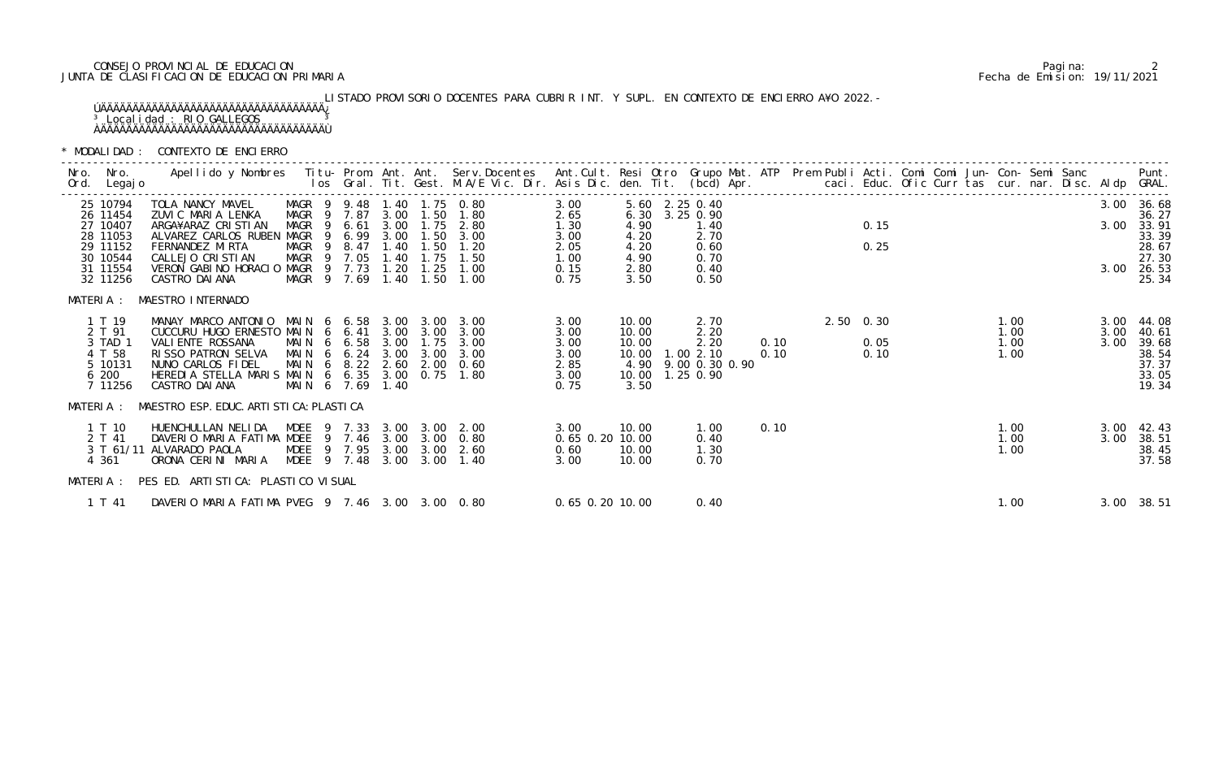# CONSEJO PROVINCIAL DE EDUCACION Pagina: 2 JUNTA DE CLASIFICACION DE EDUCACION PRIMARIA Fecha de Emision: 19/11/2021

# LISTADO PROVISORIO DOCENTES PARA CUBRIR INT. Y SUPL. EN CONTEXTO DE ENCIERRO A¥O 2022.- ÚÄÄÄÄÄÄÄÄÄÄÄÄÄÄÄÄÄÄÄÄÄÄÄÄÄÄÄÄÄÄÄÄÄÄÄ¿ <sup>3</sup> Localidad : RIO GALLEGOS 3 ÀÄÄÄÄÄÄÄÄÄÄÄÄÄÄÄÄÄÄÄÄÄÄÄÄÄÄÄÄÄÄÄÄÄÄÄÙ

| Nro. Nro.<br>Ord. Legajo                                                                     | Apellido y Nombres - Titu- Prom. Ant. Ant. Serv.Docentes - Ant.Cult. Resi Otro Grupo Mat. ATP Prem Publi Acti. Comi Comi Jun- Con- Semi Sanc - - - Punt.<br>Ios Gral. Tit. Gest. M.A/E Vic. Dir. Asis Dic. den. Tit. (bcd) Apr. -                                       |                                                                                                                     |                      |              |                           |                                                                                                   |                                                              |                                                                           |                |                                              |              |  |                           |  |                              |              |                                                                                     |
|----------------------------------------------------------------------------------------------|-------------------------------------------------------------------------------------------------------------------------------------------------------------------------------------------------------------------------------------------------------------------------|---------------------------------------------------------------------------------------------------------------------|----------------------|--------------|---------------------------|---------------------------------------------------------------------------------------------------|--------------------------------------------------------------|---------------------------------------------------------------------------|----------------|----------------------------------------------|--------------|--|---------------------------|--|------------------------------|--------------|-------------------------------------------------------------------------------------|
| 25 10794<br>26 11454<br>27 10407<br>28 11053<br>29 11152<br>30 10544<br>31 11554<br>32 11256 | TOLA NANCY MAVEL<br>ZUVIC MARIA LENKA<br>ARGA¥ARAZ CRISTIAN<br>ALVAREZ CARLOS RUBEN MAGR<br>FERNANDEZ MIRTA<br>CALLEJO CRISTIAN<br>VERON GABINO HORACIO MAGR 9 7.73<br>CASTRO DAI ANA                                                                                   | MAGR 9 9.48 1.40 1.75 0.80<br>MAGR 9 7.87<br>MAGR <sub>9</sub><br>- 9<br>MAGR <sub>9</sub><br>MAGR 9<br>MAGR 9 7.69 | 6.61<br>8.47<br>7.05 | 1.40<br>1.20 | 3.00 1.50<br>1.75<br>1.25 | 1.80<br>3.00 1.75 2.80<br>6.99 3.00 1.50 3.00<br>1.40 1.50 1.20<br>1.50<br>1.00<br>1.40 1.50 1.00 | 3.00<br>2.65<br>1.30<br>3.00<br>2.05<br>1.00<br>0.15<br>0.75 | 5.60 2.25 0.40<br>4.90<br>4.20<br>4.20<br>4.90<br>2.80<br>3.50            | 6.30 3.25 0.90 | 1.40<br>2.70<br>0.60<br>0.70<br>0.40<br>0.50 |              |  | 0.15<br>0.25              |  |                              |              | 3.00 36.68<br>36.27<br>3.00 33.91<br>33.39<br>28.67<br>27.30<br>3.00 26.53<br>25.34 |
| MATERIA :<br>1 T 19<br>2 T 91<br>3 TAD 1<br>4 T 58<br>5 10131<br>6 200<br>7 11256            | MAESTRO INTERNADO<br>MANAY MARCO ANTONIO MAIN 6 6.58 3.00 3.00 3.00<br>CUCCURU HUGO ERNESTO MAIN 6 6.41 3.00 3.00 3.00<br>VALI ENTE ROSSANA<br>RISSO PATRON SELVA MAIN 6 6.24<br>NUNO CARLOS FIDEL<br>HEREDIA STELLA MARIS MAIN 6 6.35 3.00 0.75 1.80<br>CASTRO DAI ANA | MAIN 6 6.58 3.00 1.75 3.00<br>MAIN 6 8.22 2.60 2.00 0.60<br>MAIN 6 7.69                                             |                      | 3.00<br>1.40 |                           | 3.00 3.00                                                                                         | 3.00<br>3.00<br>3.00<br>3.00<br>2.85<br>3.00<br>0.75         | 10.00<br>10.00<br>10.00<br>10.00  1.00  2.10<br>10.00  1.25  0.90<br>3.50 |                | 2.70<br>2.20<br>2.20<br>4.90 9.00 0.30 0.90  | 0.10<br>0.10 |  | 2.50 0.30<br>0.05<br>0.10 |  | 1.00<br>1.00<br>1.00<br>1.00 | 3.00<br>3.00 | 3.00 44.08<br>40.61<br>39.68<br>38.54<br>37.37<br>33.05<br>19.34                    |
| 1 T 10<br>2 T 41<br>4 361                                                                    | MATERIA : MAESTRO ESP. EDUC. ARTI STI CA: PLASTI CA<br>HUENCHULLAN NELIDA MDEE 9 7.33 3.00 3.00 2.00<br>DAVERIO MARIA FATIMA MDEE 9 7.46 3.00 3.00 0.80<br>3 T 61/11 ALVARADO PAOLA<br>ORONA CERINI MARIA<br>MATERIA : PES ED. ARTISTICA: PLASTICO VISUAL               | MDEE 9 7.95 3.00 3.00 2.60<br>MDEE 9 7.48                                                                           |                      |              |                           | 3.00 3.00 1.40                                                                                    | 3.00<br>0.65 0.20 10.00<br>0.60<br>3.00                      | 10.00<br>10.00<br>10.00                                                   |                | 1.00<br>0.40<br>1.30<br>0.70                 | 0.10         |  |                           |  | 1.00<br>1.00<br>1.00         |              | 3.00 42.43<br>3.00 38.51<br>38.45<br>37.58                                          |
| 1 T 41                                                                                       | DAVERIO MARIA FATIMA PVEG 9 7.46 3.00 3.00 0.80                                                                                                                                                                                                                         |                                                                                                                     |                      |              |                           |                                                                                                   | $0.65$ 0.20 10.00                                            |                                                                           |                | 0.40                                         |              |  |                           |  | 1.00                         |              | 3.00 38.51                                                                          |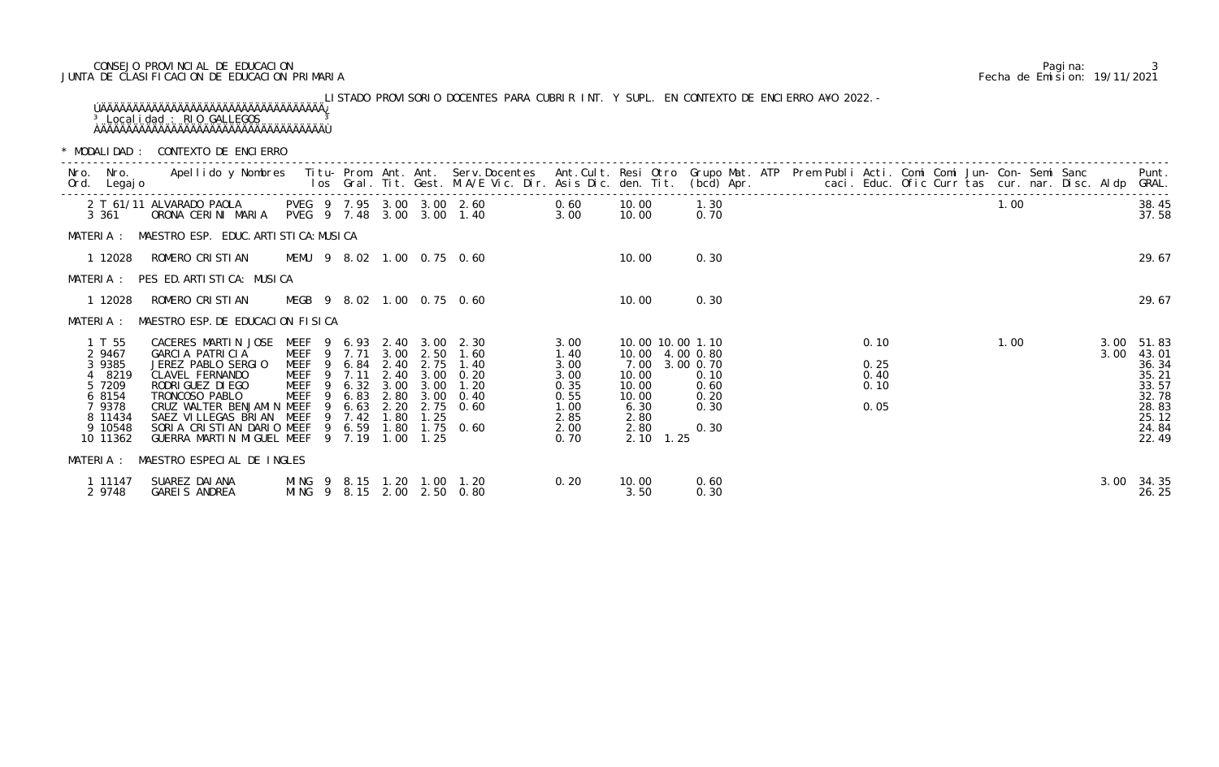# CONSEJO PROVINCIAL DE EDUCACION Pagina: 3 JUNTA DE CLASIFICACION DE EDUCACION PRIMARIA Fecha de Emision: 19/11/2021

LISTADO PROVISORIO DOCENTES PARA CUBRIR INT. Y SUPL. EN CONTEXTO DE ENCIERRO A¥O 2022.- ÚÄÄÄÄÄÄÄÄÄÄÄÄÄÄÄÄÄÄÄÄÄÄÄÄÄÄÄÄÄÄÄÄÄÄÄ¿ <sup>3</sup> Localidad : RIO GALLEGOS 3 ÀÄÄÄÄÄÄÄÄÄÄÄÄÄÄÄÄÄÄÄÄÄÄÄÄÄÄÄÄÄÄÄÄÄÄÄÙ

| 3 361                                                                                                | PVEG 9 7.95 3.00 3.00 2.60<br>2 T 61/11 ALVARADO PAOLA<br>ORONA CERINI MARIA PVEG 9 7.48 3.00 3.00 1.40                                                                                                                                                                                                     |                                                                                          |                        |              |                                          | 0.60<br>3.00                                                                      |                                                                              | 10.00<br>10.00                                                                                                                | 1.30<br>0.70                         |  |                                      |  | 1.00 |      | 38.45<br>37.58                                                                                  |
|------------------------------------------------------------------------------------------------------|-------------------------------------------------------------------------------------------------------------------------------------------------------------------------------------------------------------------------------------------------------------------------------------------------------------|------------------------------------------------------------------------------------------|------------------------|--------------|------------------------------------------|-----------------------------------------------------------------------------------|------------------------------------------------------------------------------|-------------------------------------------------------------------------------------------------------------------------------|--------------------------------------|--|--------------------------------------|--|------|------|-------------------------------------------------------------------------------------------------|
|                                                                                                      | MATERIA : MAESTRO ESP. EDUC. ARTISTICA: MUSICA                                                                                                                                                                                                                                                              |                                                                                          |                        |              |                                          |                                                                                   |                                                                              |                                                                                                                               |                                      |  |                                      |  |      |      |                                                                                                 |
|                                                                                                      | 1 12028 ROMERO CRISTIAN MEMU 9 8.02 1.00 0.75 0.60                                                                                                                                                                                                                                                          |                                                                                          |                        |              |                                          |                                                                                   |                                                                              | 10.00                                                                                                                         | 0.30                                 |  |                                      |  |      |      | 29.67                                                                                           |
|                                                                                                      | MATERIA: PES ED. ARTISTICA: MUSICA                                                                                                                                                                                                                                                                          |                                                                                          |                        |              |                                          |                                                                                   |                                                                              |                                                                                                                               |                                      |  |                                      |  |      |      |                                                                                                 |
| 1 12028                                                                                              | ROMERO CRISTIAN MEGB 9 8.02 1.00 0.75 0.60                                                                                                                                                                                                                                                                  |                                                                                          |                        |              |                                          |                                                                                   |                                                                              | 10.00                                                                                                                         | 0.30                                 |  |                                      |  |      |      | 29.67                                                                                           |
|                                                                                                      | MATERIA : MAESTRO ESP. DE EDUCACION FISICA                                                                                                                                                                                                                                                                  |                                                                                          |                        |              |                                          |                                                                                   |                                                                              |                                                                                                                               |                                      |  |                                      |  |      |      |                                                                                                 |
| 1 T 55<br>2 9467<br>3 9385<br>4 8219<br>5 7209<br>6 8154<br>7 9378<br>8 11434<br>9 10548<br>10 11362 | CACERES MARTIN JOSE MEEF 9 6.93 2.40 3.00 2.30<br>GARCIA PATRICIA<br>JEREZ PABLO SERGIO<br>CLAVEL FERNANDO<br>RODRI GUEZ DI EGO<br>TRONCOSO PABLO<br>CRUZ WALTER BENJAMIN MEEF<br>SAEZ VILLEGAS BRIAN MEEF<br>SORIA CRISTIAN DARIO MEEF 9 6.59 1.80 1.75 0.60<br>GUERRA MARTIN MIGUEL MEEF 9 7.19 1.00 1.25 | <b>MEEF</b><br>9<br>MEEF 9 7.11 2.40 3.00 0.20<br>MEEF <sub>9</sub><br>MEEF <sub>9</sub> | 6.83<br>6.63<br>9 7.42 | 2.20<br>1.80 | 6.84 2.40 2.75<br>6.32 3.00 3.00<br>1.25 | MEEF 9 7.71 3.00 2.50 1.60<br>1.40<br>1.20<br>2.80 3.00 0.40<br>$2.75 \quad 0.60$ | 3.00<br>1.40<br>3.00<br>3.00<br>0.35<br>0.55<br>1.00<br>2.85<br>2.00<br>0.70 | 10.00 10.00 1.10<br>10.00 4.00 0.80<br>7.00 3.00 0.70<br>10.00<br>10.00<br>10.00<br>6.30<br>2.80<br>2.80<br>$2.10 \quad 1.25$ | 0.10<br>0.60<br>0.20<br>0.30<br>0.30 |  | 0.10<br>0.25<br>0.40<br>0.10<br>0.05 |  | 1.00 | 3.00 | $3.00$ $51.83$<br>43.01<br>36.34<br>35.21<br>33.57<br>32.78<br>28.83<br>25.12<br>24.84<br>22.49 |
|                                                                                                      | MATERIA : MAESTRO ESPECIAL DE INGLES                                                                                                                                                                                                                                                                        |                                                                                          |                        |              |                                          |                                                                                   |                                                                              |                                                                                                                               |                                      |  |                                      |  |      |      |                                                                                                 |
| 1 11147<br>2 9748                                                                                    | SUAREZ DAIANA<br>GAREIS ANDREA                                                                                                                                                                                                                                                                              | MING 9 8.15 2.00 2.50 0.80                                                               |                        |              |                                          | 0.20<br>MING 9 8.15 1.20 1.00 1.20                                                |                                                                              | 10.00<br>3.50                                                                                                                 | 0.60<br>0.30                         |  |                                      |  |      |      | 3.00 34.35<br>26.25                                                                             |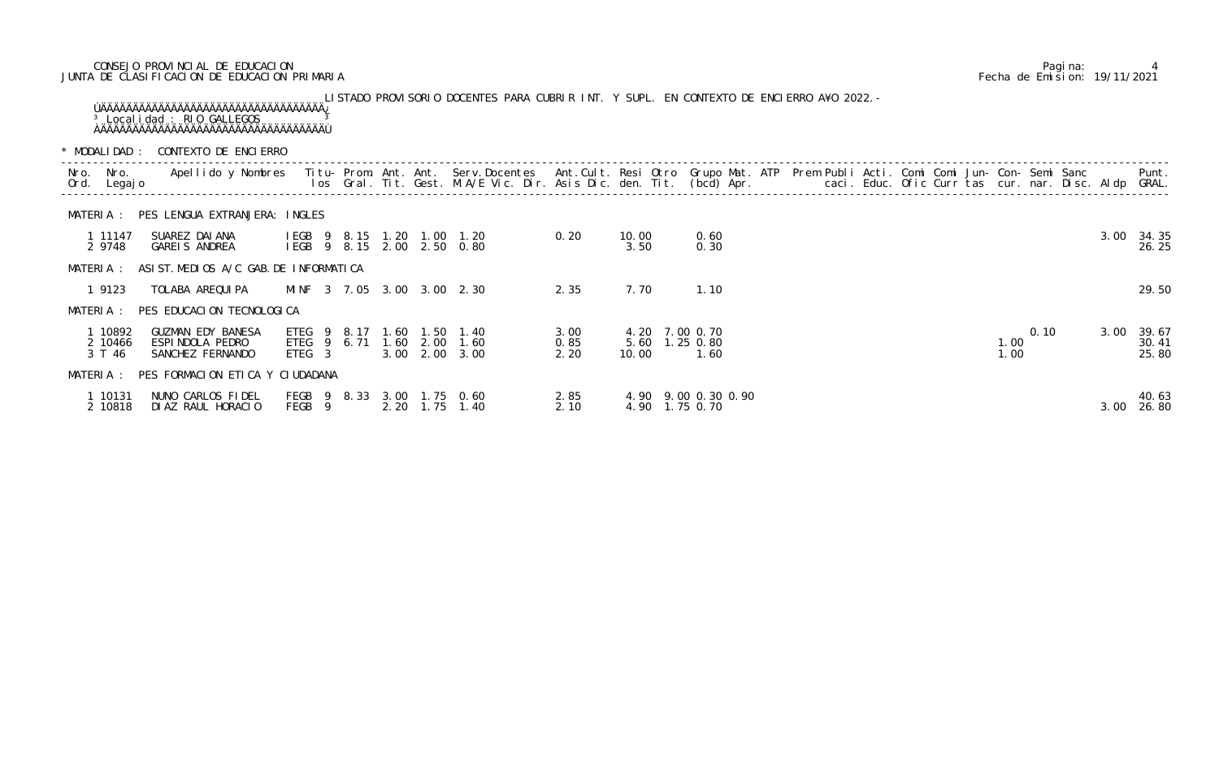# CONSEJO PROVINCIAL DE EDUCACION Pagina: 4 JUNTA DE CLASIFICACION DE EDUCACION PRIMARIA Fecha de Emision: 19/11/2021

|      |                              |                                                          |                                           |                                        |             |  | LISTADO PROVISORIO DOCENTES PARA CUBRIR INT. Y SUPL. EN CONTEXTO DE ENCIERRO A¥O 2022. -                                                                                                                                          |                      |               |                                  |                     |  |  |  |              |      |      |                         |
|------|------------------------------|----------------------------------------------------------|-------------------------------------------|----------------------------------------|-------------|--|-----------------------------------------------------------------------------------------------------------------------------------------------------------------------------------------------------------------------------------|----------------------|---------------|----------------------------------|---------------------|--|--|--|--------------|------|------|-------------------------|
|      |                              |                                                          | * MODALIDAD : CONTEXTO DE ENCIERRO        |                                        |             |  |                                                                                                                                                                                                                                   |                      |               |                                  |                     |  |  |  |              |      |      |                         |
| Nro. | Nro.<br>Ord. Legajo          |                                                          |                                           |                                        |             |  | Apellido y Nombres - Titu- Prom. Ant. Ant. Serv.Docentes - Ant.Cult. Resi Otro Grupo Mat. ATP Prem Publi Acti. Comi Comi Jun- Con- Semi Sanc - - - - Punt.<br>Ios Gral. Tit. Gest. M.A/E Vic. Dir. Asis Dic. den. Tit. (bcd) Apr. |                      |               |                                  |                     |  |  |  |              |      |      |                         |
|      | MATERIA :                    |                                                          | PES LENGUA EXTRANJERA: INGLES             |                                        |             |  |                                                                                                                                                                                                                                   |                      |               |                                  |                     |  |  |  |              |      |      |                         |
|      | 1 11147<br>2 9748            | SUAREZ DAI ANA<br>GAREIS ANDREA                          |                                           |                                        |             |  | IEGB 9 8.15 1.20 1.00 1.20<br>IEGB 9 8.15 2.00 2.50 0.80                                                                                                                                                                          | 0.20                 | 10.00<br>3.50 |                                  | 0.60<br>0.30        |  |  |  |              |      | 3.00 | 34.35<br>26.25          |
|      | MATERIA :                    |                                                          | ASIST. MEDIOS A/C GAB. DE INFORMATICA     |                                        |             |  |                                                                                                                                                                                                                                   |                      |               |                                  |                     |  |  |  |              |      |      |                         |
|      | 1 9123                       | TOLABA AREQUI PA                                         |                                           |                                        |             |  | MINF 3 7.05 3.00 3.00 2.30                                                                                                                                                                                                        | 2.35                 | 7.70          |                                  | 1.10                |  |  |  |              |      |      | 29.50                   |
|      |                              |                                                          | MATERIA : PES EDUCACION TECNOLOGICA       |                                        |             |  |                                                                                                                                                                                                                                   |                      |               |                                  |                     |  |  |  |              |      |      |                         |
|      | 1 10892<br>2 10466<br>3 T 46 | GUZMAN EDY BANESA<br>ESPINDOLA PEDRO<br>SANCHEZ FERNANDO |                                           | ETEG <sub>9</sub><br>ETEG <sub>3</sub> | 8.17        |  | 1.60 1.50 1.40<br>ETEG 9 6.71 1.60 2.00 1.60<br>3.00 2.00 3.00                                                                                                                                                                    | 3.00<br>0.85<br>2.20 | 10.00         | 4.20 7.00 0.70<br>5.60 1.25 0.80 | 1.60                |  |  |  | 1.00<br>1.00 | 0.10 | 3.00 | 39.67<br>30.41<br>25.80 |
|      |                              |                                                          | MATERIA : PES FORMACION ETICA Y CIUDADANA |                                        |             |  |                                                                                                                                                                                                                                   |                      |               |                                  |                     |  |  |  |              |      |      |                         |
|      | 1 10131<br>2 10818           | NUNO CARLOS FIDEL<br>DIAZ RAUL HORACIO                   |                                           | FEGB <sub>9</sub>                      | FEGB 9 8.33 |  | 3.00 1.75 0.60<br>2.20 1.75 1.40                                                                                                                                                                                                  | 2.85<br>2.10         |               | 4.90 1.75 0.70                   | 4.90 9.00 0.30 0.90 |  |  |  |              |      | 3.00 | 40.63<br>26.80          |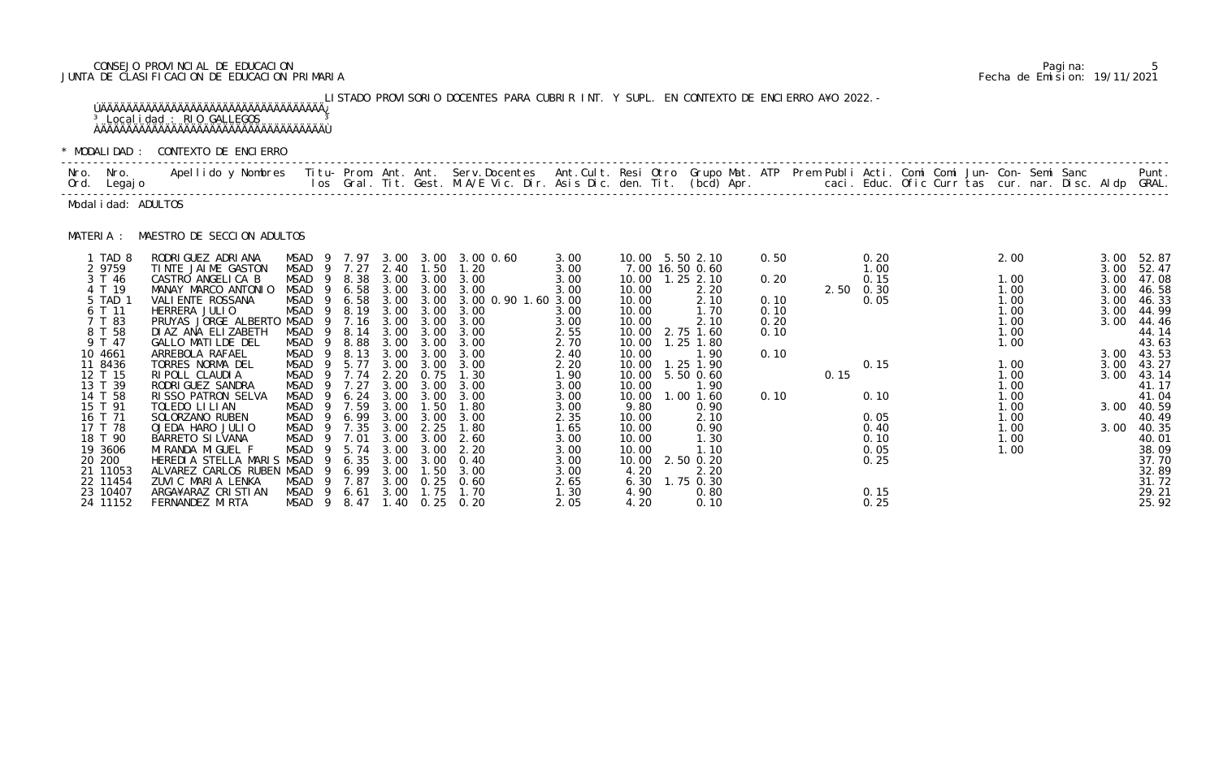# CONSEJO PROVINCIAL DE EDUCACION Pagina: 5 JUNTA DE CLASIFICACION DE EDUCACION PRIMARIA Fecha de Emision: 19/11/2021

LISTADO PROVISORIO DOCENTES PARA CUBRIR INT. Y SUPL. EN CONTEXTO DE ENCIERRO A¥O 2022.- ÚÄÄÄÄÄÄÄÄÄÄÄÄÄÄÄÄÄÄÄÄÄÄÄÄÄÄÄÄÄÄÄÄÄÄÄ¿ <sup>3</sup> Localidad : RIO GALLEGOS 3 ÀÄÄÄÄÄÄÄÄÄÄÄÄÄÄÄÄÄÄÄÄÄÄÄÄÄÄÄÄÄÄÄÄÄÄÄÙ

|           | Nro. Nro.<br>Ord. Legajo | Apellido y Nombres - Titu- Prom. Ant. Ant. Serv.Docentes - Ant.Cult. Resi Otro Grupo Mat. ATP Prem Publi Acti. Comi Comi Jun- Con- Semi Sanc - - - Punt.<br>Ios Gral. Tit. Gest. M.A/E Vic. Dir. Asis Dic. den. Tit. (bcd) Apr. - |                                  |              |              |                   |                                       |              |                |                                    |              |      |                   |              |              |                     |
|-----------|--------------------------|-----------------------------------------------------------------------------------------------------------------------------------------------------------------------------------------------------------------------------------|----------------------------------|--------------|--------------|-------------------|---------------------------------------|--------------|----------------|------------------------------------|--------------|------|-------------------|--------------|--------------|---------------------|
|           | Modal i dad: ADULTOS     |                                                                                                                                                                                                                                   |                                  |              |              |                   |                                       |              |                |                                    |              |      |                   |              |              |                     |
| MATERIA : |                          | MAESTRO DE SECCION ADULTOS                                                                                                                                                                                                        |                                  |              |              |                   |                                       |              |                |                                    |              |      |                   |              |              |                     |
|           | 1 TAD 8<br>2 9759        | RODRI GUEZ ADRI ANA<br>TINTE JAIME GASTON                                                                                                                                                                                         | MSAD 9<br>MSAD                   | 9 7.27       | 2.40         | 1.50              | 7.97 3.00 3.00 3.00 0.60<br>1.20      | 3.00<br>3.00 |                | 10.00 5.50 2.10<br>7.00 16.50 0.60 | 0.50         |      | 0.20<br>1.00      | 2.00         | 3.00<br>3.00 | 52.87<br>52.47      |
|           | 3 T 46                   | CASTRO ANGELICA B                                                                                                                                                                                                                 | MSAD<br>-9<br>$\overline{9}$     | 8.38         | 3.00         | 3.00              | 3.00                                  | 3.00         |                | 10.00  1.25  2.10                  | 0.20         |      | 0.15              | 1.00         | 3.00         | 47.08               |
|           | 4 T 19<br>5 TAD 1        | MANAY MARCO ANTONIO<br>VALI ENTE ROSSANA                                                                                                                                                                                          | MSAD<br>MSAD<br>- 9              | 6.58<br>6.58 | 3.00         | 3.00              | 3.00 3.00 3.00<br>3.00 0.90 1.60 3.00 | 3.00         | 10.00<br>10.00 | 2.20<br>2.10                       | 0.10         |      | 2.50 0.30<br>0.05 | 1.00<br>1.00 | 3.00<br>3.00 | 46.58<br>46.33      |
|           | 6 T 11                   | HERRERA JULIO                                                                                                                                                                                                                     | MSAD                             | 8.19         | 3.00         | 3.00              | 3.00                                  | 3.00         | 10.00          | 1.70                               | 0.10         |      |                   | 1.00         | 3.00         | 44.99               |
|           | 7 T 83<br>8 T 58         | PRUYAS JORGE ALBERTO<br>DI AZ ANA ELIZABETH                                                                                                                                                                                       | MSAD<br>- 9<br><b>MSAD</b><br>-9 | 7.16<br>8.14 | 3.00<br>3.00 | 3.00<br>3.00      | 3.00<br>3.00                          | 3.00<br>2.55 | 10.00          | 2.10<br>10.00 2.75 1.60            | 0.20<br>0.10 |      |                   | 1.00<br>1.00 | 3.00         | 44.46<br>44.14      |
|           | 9 T 47                   | GALLO MATILDE DEL                                                                                                                                                                                                                 | MSAD<br>- 9                      | 8.88         | 3.00         | 3.00              | 3.00                                  | 2.70         | 10.00          | $1.25$ 1.80                        |              |      |                   | 1.00         |              | 43.63               |
|           | 10 4661                  | ARREBOLA RAFAEL                                                                                                                                                                                                                   | <b>MSAD</b><br>9                 | 8.13         | 3.00         | 3.00              | 3.00                                  | 2.40         | 10.00          | 1.90                               | 0.10         |      |                   |              |              | 3.00 43.53          |
|           | 11 8436<br>12 T 15       | TORRES NORMA DEL<br>RIPOLL CLAUDIA                                                                                                                                                                                                | MSAD<br>MSAD<br>- 9              | 5.77<br>7.74 | 3.00<br>2.20 | 3.00<br>0.75      | 3.00<br>1.30                          | 2.20<br>1.90 | 10.00<br>10.00 | 1.25 1.90<br>5.50 0.60             |              | 0.15 | 0.15              | 1.00<br>1.00 | 3.00<br>3.00 | 43.27<br>43.14      |
|           | 13 T 39                  | RODRI GUEZ SANDRA                                                                                                                                                                                                                 | MSAD<br>9                        | 7.27         | 3.00         | 3.00              | 3.00                                  | 3.00         | 10.00          | 1.90                               |              |      |                   | 1.00         |              | 41.17               |
|           | 14 T 58                  | RISSO PATRON SELVA                                                                                                                                                                                                                | MSAD<br>-9                       | 6.24         | 3.00         | 3.00              | 3.00                                  | 3.00         | 10.00          | 1.00 1.60                          | 0.10         |      | 0.10              | 1.00         |              | 41.04               |
|           | 15 T 91                  | TOLEDO LI LI AN                                                                                                                                                                                                                   | MSAD<br>- 9                      | 7.59         | 3.00         | 1.50              | 1.80                                  | 3.00         | 9.80           | 0.90                               |              |      |                   | 1.00         |              | 3.00 40.59          |
|           | 16 T 71<br>17 T 78       | SOLORZANO RUBEN<br>OJEDA HARO JULIO                                                                                                                                                                                               | MSAD<br>9<br>MSAD                | 6.99<br>7.35 | 3.00<br>3.00 | 3.00<br>2.25      | 3.00<br>1.80                          | 2.35<br>1.65 | 10.00<br>10.00 | 2.10<br>0.90                       |              |      | 0.05<br>0.40      | 1.00<br>1.00 |              | 40.49<br>3.00 40.35 |
|           | 18 T 90                  | BARRETO SI LVANA                                                                                                                                                                                                                  | <b>MSAD</b><br>- 9               | 7.01         | 3.00         | 3.00              | 2.60                                  | 3.00         | 10.00          | 1.30                               |              |      | 0.10              | 1.00         |              | 40.01               |
|           | 19 3606                  | MI RANDA MI GUEL F                                                                                                                                                                                                                | <b>MSAD</b><br>-9                | 5.74         | 3.00         | 3.00              | 2.20                                  | 3.00         | 10.00          | 1.10                               |              |      | 0.05              | 1.00         |              | 38.09               |
|           | 20 200                   | HEREDIA STELLA MARIS MSAD                                                                                                                                                                                                         | 9                                | 6.35         | 3.00         | 3.00              | 0.40                                  | 3.00         | 10.00          | 2.50 0.20                          |              |      | 0.25              |              |              | 37.70               |
|           | 21 11053<br>22 11454     | ALVAREZ CARLOS RUBEN MSAD<br>ZUVIC MARIA LENKA                                                                                                                                                                                    | -9<br><b>MSAD</b>                | 6.99<br>7.87 | 3.00<br>3.00 | 1.50              | 3.00<br>$0.25$ 0.60                   | 3.00<br>2.65 | 4.20<br>6.30   | 2.20<br>1.75 0.30                  |              |      |                   |              |              | 32.89<br>31.72      |
|           | 23 10407                 | ARGA¥ARAZ CRISTIAN                                                                                                                                                                                                                | MSAD <sub>9</sub>                | 6.61         | 3.00         | 1.75              | 1.70                                  | 1.30         | 4.90           | 0.80                               |              |      | 0.15              |              |              | 29.21               |
|           | 24 11152                 | FERNANDEZ MIRTA                                                                                                                                                                                                                   | MSAD <sub>9</sub>                | 8.47         |              | $1.40 \quad 0.25$ | 0.20                                  | 2.05         | 4.20           | 0.10                               |              |      | 0.25              |              |              | 25.92               |

|                                                                                                                                                                       |            | ODALIDAD : CONTEXTO DE ENCIERRO!                                                                                                                                                                                                                                                                                                                        |                                                                                                                      |         |                                                                                                                      |                                                                                                      |                                                                                                                        |                                                                                                                                                                   |                                                                                                                      |                                                                                                |                                                                                                                                                                                                              |                                                              |      |                                                                   |  |                                                                                                              |                                                                      |                                                                                                                                                        |
|-----------------------------------------------------------------------------------------------------------------------------------------------------------------------|------------|---------------------------------------------------------------------------------------------------------------------------------------------------------------------------------------------------------------------------------------------------------------------------------------------------------------------------------------------------------|----------------------------------------------------------------------------------------------------------------------|---------|----------------------------------------------------------------------------------------------------------------------|------------------------------------------------------------------------------------------------------|------------------------------------------------------------------------------------------------------------------------|-------------------------------------------------------------------------------------------------------------------------------------------------------------------|----------------------------------------------------------------------------------------------------------------------|------------------------------------------------------------------------------------------------|--------------------------------------------------------------------------------------------------------------------------------------------------------------------------------------------------------------|--------------------------------------------------------------|------|-------------------------------------------------------------------|--|--------------------------------------------------------------------------------------------------------------|----------------------------------------------------------------------|--------------------------------------------------------------------------------------------------------------------------------------------------------|
| o. Nro.                                                                                                                                                               | d. Legaj o | Apellido y Nombres  Titu- Prom. Ant. Ant.  Serv.Docentes  Ant.Cult. Resi Otro  Grupo Mat. ATP  Prem Publi Acti. Comi Comi Jun- Con- Semi Sanc              Punt.<br>Ios Gral. Tit. Gest. M.A/E Vic. Dir. Asis Dic. den. Tit. (bcd                                                                                                                       |                                                                                                                      |         |                                                                                                                      |                                                                                                      |                                                                                                                        |                                                                                                                                                                   |                                                                                                                      |                                                                                                | ---------------------------                                                                                                                                                                                  |                                                              |      |                                                                   |  |                                                                                                              |                                                                      |                                                                                                                                                        |
|                                                                                                                                                                       |            | dal i dad: ADULTOS                                                                                                                                                                                                                                                                                                                                      |                                                                                                                      |         |                                                                                                                      |                                                                                                      |                                                                                                                        |                                                                                                                                                                   |                                                                                                                      |                                                                                                |                                                                                                                                                                                                              |                                                              |      |                                                                   |  |                                                                                                              |                                                                      |                                                                                                                                                        |
|                                                                                                                                                                       |            | <b>TERIA : MAESTRO DE SECCION ADULTOS</b>                                                                                                                                                                                                                                                                                                               |                                                                                                                      |         |                                                                                                                      |                                                                                                      |                                                                                                                        |                                                                                                                                                                   |                                                                                                                      |                                                                                                |                                                                                                                                                                                                              |                                                              |      |                                                                   |  |                                                                                                              |                                                                      |                                                                                                                                                        |
| 1 TAD 8<br>2 9759<br>3 T 46<br>4 T 19<br>5 TAD 1<br>6 T 11<br>7 T 83<br>8 T 58<br>9 T 47<br>10 4661<br>11 8436<br>12 T 15<br>13 T 39<br>14 T 58<br>15 T 91<br>16 T 71 |            | RODRI GUEZ ADRI ANA<br>TINTE JAIME GASTON<br>CASTRO ANGELICA B<br>MANAY MARCO ANTONIO<br>VALI ENTE ROSSANA<br>HERRERA JULIO<br>PRUYAS JORGE ALBERTO MSAD<br>DI AZ ANA ELIZABETH<br><b>GALLO MATILDE DEL</b><br>ARREBOLA RAFAEL<br>TORRES NORMA DEL<br>RI POLL CLAUDI A<br>RODRI GUEZ SANDRA<br>RISSO PATRON SELVA<br>TOLEDO LI LI AN<br>SOLORZANO RUBEN | MSAD<br>MSAD<br>MSAD<br>MSAD<br>MSAD<br>MSAD<br>MSAD<br>MSAD<br>MSAD<br>MSAD<br>MSAD<br>MSAD<br>MSAD<br>MSAD<br>MSAD | -9<br>9 | 7.27<br>8.38<br>6.58<br>6.58<br>8.19<br>7.16<br>8.14<br>8.88<br>8.13<br>5.77<br>7.74<br>7.27<br>6.24<br>7.59<br>6.99 | 3.00<br>3.00<br>3.00<br>3.00<br>3.00<br>3.00<br>3.00<br>3.00<br>2.20<br>3.00<br>3.00<br>3.00<br>3.00 | 2.40 1.50 1.20<br>3.00<br>3.00<br>3.00<br>3.00<br>3.00<br>3.00<br>3.00<br>3.00<br>0.75<br>3.00<br>3.00<br>1.50<br>3.00 | 7.97 3.00 3.00 3.00 0.60<br>3.00<br>3.00 3.00 3.00<br>3.00 0.90 1.60 3.00<br>3.00<br>3.00<br>3.00<br>3.00<br>3.00<br>3.00<br>1.30<br>3.00<br>3.00<br>1.80<br>3.00 | 3.00<br>3.00<br>3.00<br>3.00<br>3.00<br>3.00<br>2.55<br>2.70<br>2.40<br>2.20<br>1.90<br>3.00<br>3.00<br>3.00<br>2.35 | 10.00<br>10.00<br>10.00<br>10.00<br>10.00<br>10.00<br>10.00<br>10.00<br>10.00<br>9.80<br>10.00 | 10.00 5.50 2.10<br>7.00 16.50 0.60<br>10.00  1.25  2.10<br>2.20<br>2.10<br>1.70<br>2.10<br>10.00 2.75 1.60<br>$1.25$ 1.80<br>1.90<br>10.00  1.25  1.90<br>5.50 0.60<br>1.90<br>$1.00$ $1.60$<br>0.90<br>2.10 | 0.50<br>0.20<br>0.10<br>0.10<br>0.20<br>0.10<br>0.10<br>0.10 | 0.15 | 0.20<br>1.00<br>0.15<br>2.50 0.30<br>0.05<br>0.15<br>0.10<br>0.05 |  | 2.00<br>1.00<br>1.00<br>1.00<br>1.00<br>1.00<br>1.00<br>1.00<br>1.00<br>1.00<br>1.00<br>1.00<br>1.00<br>1.00 | 3.00<br>3.00<br>3.00<br>3.00<br>3.00<br>3.00<br>3.00<br>3.00<br>3.00 | 52.87<br>52.47<br>47.08<br>46.58<br>46.33<br>44.99<br>44.46<br>44.14<br>43.63<br>3.00 43.53<br>43.27<br>43.14<br>41.17<br>41.04<br>3.00 40.59<br>40.49 |
| 17 T 78<br>18 T 90<br>19 3606<br>20 200<br>21 11053<br>22 11454<br>23 10407<br>24 11152                                                                               |            | OJEDA HARO JULIO<br>BARRETO SI LVANA<br>MI RANDA MI GUEL F<br>HEREDIA STELLA MARIS MSAD<br>ALVAREZ CARLOS RUBEN MSAD<br>ZUVIC MARIA LENKA<br>ARGA¥ARAZ CRISTIAN<br>FERNANDEZ MIRTA                                                                                                                                                                      | MSAD<br>MSAD<br>MSAD<br>MSAD<br>MSAD<br>MSAD <sub>9</sub>                                                            | - 9     | 7.35<br>7.01<br>5.74<br>6.35<br>6.99<br>7.87<br>6.61                                                                 | 3.00<br>3.00<br>3.00<br>3.00<br>3.00                                                                 | 2.25<br>3.00<br>3.00<br>3.00<br>1.50<br>$3.00 \quad 0.25$<br>3.00 1.75<br>8.47 1.40 0.25                               | 1.80<br>2.60<br>2.20<br>0.40<br>3.00<br>0.60<br>1.70<br>0.20                                                                                                      | 1.65<br>3.00<br>3.00<br>3.00<br>3.00<br>2.65<br>1.30<br>2.05                                                         | 10.00<br>10.00<br>10.00<br>10.00<br>4.20<br>6.30<br>4.90<br>4.20                               | 0.90<br>1.30<br>1.10<br>2.50 0.20<br>2.20<br>1.75 0.30<br>0.80<br>0.10                                                                                                                                       |                                                              |      | 0.40<br>0.10<br>0.05<br>0.25<br>0.15<br>0.25                      |  | 1.00<br>1.00<br>1.00                                                                                         | 3.00                                                                 | 40.35<br>40.01<br>38.09<br>37.70<br>32.89<br>31.72<br>29.21<br>25.92                                                                                   |